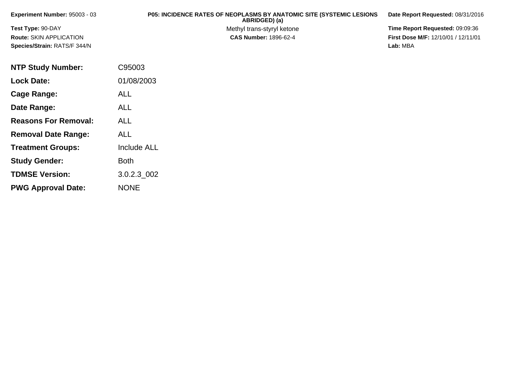| <b>Experiment Number: 95003 - 03</b> | <b>P05: INCIDENCE RATES OF NEOPLASMS BY ANATOMIC SITE (SYSTEMIC LESIONS)</b><br>ABRIDGED) (a) | Date Report Requested: 08/31/2016          |
|--------------------------------------|-----------------------------------------------------------------------------------------------|--------------------------------------------|
| <b>Test Type: 90-DAY</b>             | Methyl trans-styryl ketone                                                                    | Time Report Requested: 09:09:36            |
| <b>Route: SKIN APPLICATION</b>       | <b>CAS Number: 1896-62-4</b>                                                                  | <b>First Dose M/F: 12/10/01 / 12/11/01</b> |
| <b>Species/Strain: RATS/F 344/N</b>  |                                                                                               | Lab: MBA                                   |

| <b>NTP Study Number:</b>    | C95003             |
|-----------------------------|--------------------|
| <b>Lock Date:</b>           | 01/08/2003         |
| Cage Range:                 | <b>ALL</b>         |
| Date Range:                 | <b>ALL</b>         |
| <b>Reasons For Removal:</b> | ALL                |
| <b>Removal Date Range:</b>  | <b>ALL</b>         |
| <b>Treatment Groups:</b>    | <b>Include ALL</b> |
| <b>Study Gender:</b>        | <b>Both</b>        |
| <b>TDMSE Version:</b>       | 3.0.2.3 002        |
| <b>PWG Approval Date:</b>   | <b>NONE</b>        |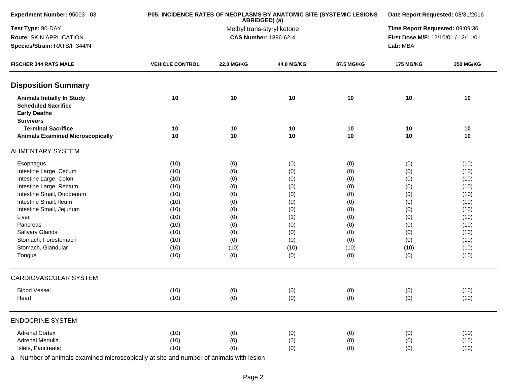| Experiment Number: 95003 - 03                                                                              | P05: INCIDENCE RATES OF NEOPLASMS BY ANATOMIC SITE (SYSTEMIC LESIONS | Date Report Requested: 08/31/2016 |                                             |            |                                     |           |  |
|------------------------------------------------------------------------------------------------------------|----------------------------------------------------------------------|-----------------------------------|---------------------------------------------|------------|-------------------------------------|-----------|--|
| Test Type: 90-DAY                                                                                          |                                                                      |                                   | ABRIDGED) (a)<br>Methyl trans-styryl ketone |            | Time Report Requested: 09:09:36     |           |  |
| Route: SKIN APPLICATION                                                                                    |                                                                      |                                   | <b>CAS Number: 1896-62-4</b>                |            | First Dose M/F: 12/10/01 / 12/11/01 |           |  |
| Species/Strain: RATS/F 344/N                                                                               |                                                                      |                                   |                                             |            | Lab: MBA                            |           |  |
| <b>FISCHER 344 RATS MALE</b>                                                                               | <b>VEHICLE CONTROL</b>                                               | <b>22.0 MG/KG</b>                 | 44.0 MG/KG                                  | 87.5 MG/KG | <b>175 MG/KG</b>                    | 350 MG/KG |  |
| <b>Disposition Summary</b>                                                                                 |                                                                      |                                   |                                             |            |                                     |           |  |
| <b>Animals Initially In Study</b><br><b>Scheduled Sacrifice</b><br><b>Early Deaths</b><br><b>Survivors</b> | 10                                                                   | 10                                | 10                                          | 10         | 10                                  | 10        |  |
| <b>Terminal Sacrifice</b>                                                                                  | 10                                                                   | 10                                | 10                                          | 10         | 10                                  | 10        |  |
| <b>Animals Examined Microscopically</b>                                                                    | 10                                                                   | 10                                | 10                                          | 10         | 10                                  | 10        |  |
| <b>ALIMENTARY SYSTEM</b>                                                                                   |                                                                      |                                   |                                             |            |                                     |           |  |
| Esophagus                                                                                                  | (10)                                                                 | (0)                               | (0)                                         | (0)        | (0)                                 | (10)      |  |
| Intestine Large, Cecum                                                                                     | (10)                                                                 | (0)                               | (0)                                         | (0)        | (0)                                 | (10)      |  |
| Intestine Large, Colon                                                                                     | (10)                                                                 | (0)                               | (0)                                         | (0)        | (0)                                 | (10)      |  |
| Intestine Large, Rectum                                                                                    | (10)                                                                 | (0)                               | (0)                                         | (0)        | (0)                                 | (10)      |  |
| Intestine Small, Duodenum                                                                                  | (10)                                                                 | (0)                               | (0)                                         | (0)        | (0)                                 | (10)      |  |
| Intestine Small, Ileum                                                                                     | (10)                                                                 | (0)                               | (0)                                         | (0)        | (0)                                 | (10)      |  |
| Intestine Small, Jejunum                                                                                   | (10)                                                                 | (0)                               | (0)                                         | (0)        | (0)                                 | (10)      |  |
| Liver                                                                                                      | (10)                                                                 | (0)                               | (1)                                         | (0)        | (0)                                 | (10)      |  |
| Pancreas                                                                                                   | (10)                                                                 | (0)                               | (0)                                         | (0)        | (0)                                 | (10)      |  |
| Salivary Glands                                                                                            | (10)                                                                 | (0)                               | (0)                                         | (0)        | (0)                                 | (10)      |  |
| Stomach, Forestomach                                                                                       | (10)                                                                 | (0)                               | (0)                                         | (0)        | (0)                                 | (10)      |  |
| Stomach, Glandular                                                                                         | (10)                                                                 | (10)                              | (10)                                        | (10)       | (10)                                | (10)      |  |
| Tongue                                                                                                     | (10)                                                                 | (0)                               | (0)                                         | (0)        | (0)                                 | (10)      |  |
| <b>CARDIOVASCULAR SYSTEM</b>                                                                               |                                                                      |                                   |                                             |            |                                     |           |  |
| <b>Blood Vessel</b>                                                                                        | (10)                                                                 |                                   | (0)                                         |            |                                     | (10)      |  |
| Heart                                                                                                      | (10)                                                                 | (0)<br>(0)                        | (0)                                         | (0)<br>(0) | (0)<br>(0)                          | (10)      |  |
| <b>ENDOCRINE SYSTEM</b>                                                                                    |                                                                      |                                   |                                             |            |                                     |           |  |
| <b>Adrenal Cortex</b>                                                                                      | (10)                                                                 | (0)                               | (0)                                         | (0)        | (0)                                 | (10)      |  |
| Adrenal Medulla                                                                                            | (10)                                                                 | (0)                               | (0)                                         | (0)        | (0)                                 | (10)      |  |
| Islets, Pancreatic                                                                                         | (10)                                                                 | (0)                               | (0)                                         | (0)        | (0)                                 | (10)      |  |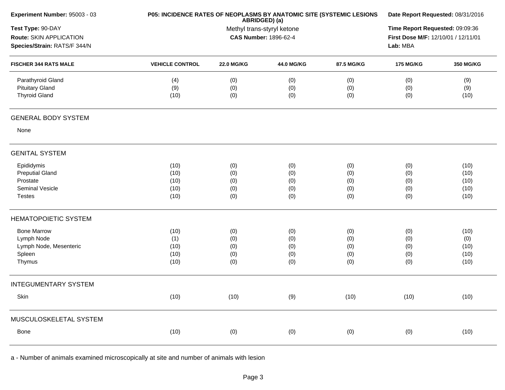| Experiment Number: 95003 - 03                                                        | P05: INCIDENCE RATES OF NEOPLASMS BY ANATOMIC SITE (SYSTEMIC LESIONS | Date Report Requested: 08/31/2016                                                  |                                 |                                 |                                 |                                      |
|--------------------------------------------------------------------------------------|----------------------------------------------------------------------|------------------------------------------------------------------------------------|---------------------------------|---------------------------------|---------------------------------|--------------------------------------|
| Test Type: 90-DAY<br>Route: SKIN APPLICATION<br>Species/Strain: RATS/F 344/N         |                                                                      | Time Report Requested: 09:09:36<br>First Dose M/F: 12/10/01 / 12/11/01<br>Lab: MBA |                                 |                                 |                                 |                                      |
| <b>FISCHER 344 RATS MALE</b>                                                         | <b>VEHICLE CONTROL</b>                                               | <b>22.0 MG/KG</b>                                                                  | 44.0 MG/KG                      | 87.5 MG/KG                      | <b>175 MG/KG</b>                | 350 MG/KG                            |
| Parathyroid Gland<br><b>Pituitary Gland</b><br><b>Thyroid Gland</b>                  | (4)<br>(9)<br>(10)                                                   | (0)<br>(0)<br>(0)                                                                  | (0)<br>(0)<br>(0)               | (0)<br>(0)<br>(0)               | (0)<br>(0)<br>(0)               | (9)<br>(9)<br>(10)                   |
| <b>GENERAL BODY SYSTEM</b>                                                           |                                                                      |                                                                                    |                                 |                                 |                                 |                                      |
| None                                                                                 |                                                                      |                                                                                    |                                 |                                 |                                 |                                      |
| <b>GENITAL SYSTEM</b>                                                                |                                                                      |                                                                                    |                                 |                                 |                                 |                                      |
| Epididymis<br><b>Preputial Gland</b><br>Prostate<br>Seminal Vesicle<br><b>Testes</b> | (10)<br>(10)<br>(10)<br>(10)<br>(10)                                 | (0)<br>(0)<br>(0)<br>(0)<br>(0)                                                    | (0)<br>(0)<br>(0)<br>(0)<br>(0) | (0)<br>(0)<br>(0)<br>(0)<br>(0) | (0)<br>(0)<br>(0)<br>(0)<br>(0) | (10)<br>(10)<br>(10)<br>(10)<br>(10) |
| <b>HEMATOPOIETIC SYSTEM</b>                                                          |                                                                      |                                                                                    |                                 |                                 |                                 |                                      |
| <b>Bone Marrow</b><br>Lymph Node<br>Lymph Node, Mesenteric<br>Spleen<br>Thymus       | (10)<br>(1)<br>(10)<br>(10)<br>(10)                                  | (0)<br>(0)<br>(0)<br>(0)<br>(0)                                                    | (0)<br>(0)<br>(0)<br>(0)<br>(0) | (0)<br>(0)<br>(0)<br>(0)<br>(0) | (0)<br>(0)<br>(0)<br>(0)<br>(0) | (10)<br>(0)<br>(10)<br>(10)<br>(10)  |
| <b>INTEGUMENTARY SYSTEM</b>                                                          |                                                                      |                                                                                    |                                 |                                 |                                 |                                      |
| Skin                                                                                 | (10)                                                                 | (10)                                                                               | (9)                             | (10)                            | (10)                            | (10)                                 |
| MUSCULOSKELETAL SYSTEM                                                               |                                                                      |                                                                                    |                                 |                                 |                                 |                                      |
| Bone                                                                                 | (10)                                                                 | (0)                                                                                | (0)                             | (0)                             | (0)                             | (10)                                 |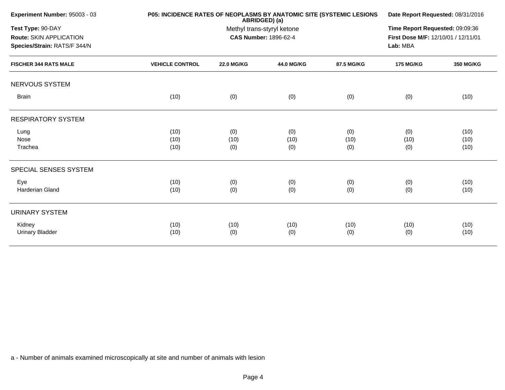| Experiment Number: 95003 - 03                                                |                        | P05: INCIDENCE RATES OF NEOPLASMS BY ANATOMIC SITE (SYSTEMIC LESIONS<br>ABRIDGED) (a)<br>Methyl trans-styryl ketone<br><b>CAS Number: 1896-62-4</b> |                   |            |                  |                  |  |
|------------------------------------------------------------------------------|------------------------|-----------------------------------------------------------------------------------------------------------------------------------------------------|-------------------|------------|------------------|------------------|--|
| Test Type: 90-DAY<br>Route: SKIN APPLICATION<br>Species/Strain: RATS/F 344/N |                        |                                                                                                                                                     |                   |            |                  |                  |  |
| <b>FISCHER 344 RATS MALE</b>                                                 | <b>VEHICLE CONTROL</b> | <b>22.0 MG/KG</b>                                                                                                                                   | <b>44.0 MG/KG</b> | 87.5 MG/KG | <b>175 MG/KG</b> | <b>350 MG/KG</b> |  |
| NERVOUS SYSTEM                                                               |                        |                                                                                                                                                     |                   |            |                  |                  |  |
| <b>Brain</b>                                                                 | (10)                   | (0)                                                                                                                                                 | (0)               | (0)        | (0)              | (10)             |  |
| <b>RESPIRATORY SYSTEM</b>                                                    |                        |                                                                                                                                                     |                   |            |                  |                  |  |
| Lung                                                                         | (10)                   | (0)                                                                                                                                                 | (0)               | (0)        | (0)              | (10)             |  |
| Nose                                                                         | (10)                   | (10)                                                                                                                                                | (10)              | (10)       | (10)             | (10)             |  |
| Trachea                                                                      | (10)                   | (0)                                                                                                                                                 | (0)               | (0)        | (0)              | (10)             |  |
| SPECIAL SENSES SYSTEM                                                        |                        |                                                                                                                                                     |                   |            |                  |                  |  |
| Eye                                                                          | (10)                   | (0)                                                                                                                                                 | (0)               | (0)        | (0)              | (10)             |  |
| <b>Harderian Gland</b>                                                       | (10)                   | (0)                                                                                                                                                 | (0)               | (0)        | (0)              | (10)             |  |
| <b>URINARY SYSTEM</b>                                                        |                        |                                                                                                                                                     |                   |            |                  |                  |  |
| Kidney                                                                       | (10)                   | (10)                                                                                                                                                | (10)              | (10)       | (10)             | (10)             |  |
| <b>Urinary Bladder</b>                                                       | (10)                   | (0)                                                                                                                                                 | (0)               | (0)        | (0)              | (10)             |  |
|                                                                              |                        |                                                                                                                                                     |                   |            |                  |                  |  |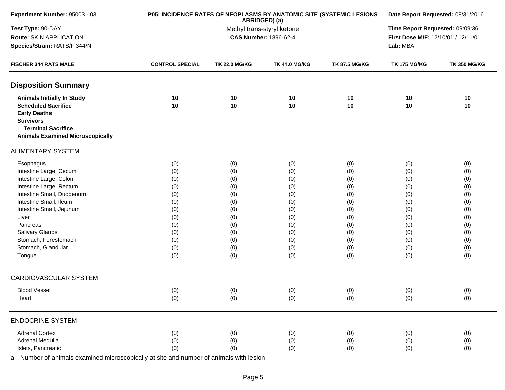| Experiment Number: 95003 - 03           | P05: INCIDENCE RATES OF NEOPLASMS BY ANATOMIC SITE (SYSTEMIC LESIONS | Date Report Requested: 08/31/2016           |                              |                      |                                     |                     |  |
|-----------------------------------------|----------------------------------------------------------------------|---------------------------------------------|------------------------------|----------------------|-------------------------------------|---------------------|--|
| Test Type: 90-DAY                       |                                                                      | ABRIDGED) (a)<br>Methyl trans-styryl ketone |                              |                      |                                     |                     |  |
| Route: SKIN APPLICATION                 |                                                                      |                                             | <b>CAS Number: 1896-62-4</b> |                      | First Dose M/F: 12/10/01 / 12/11/01 |                     |  |
| Species/Strain: RATS/F 344/N            |                                                                      |                                             |                              |                      | Lab: MBA                            |                     |  |
| <b>FISCHER 344 RATS MALE</b>            | <b>CONTROL SPECIAL</b>                                               | <b>TK 22.0 MG/KG</b>                        | <b>TK 44.0 MG/KG</b>         | <b>TK 87.5 MG/KG</b> | <b>TK 175 MG/KG</b>                 | <b>TK 350 MG/KG</b> |  |
| <b>Disposition Summary</b>              |                                                                      |                                             |                              |                      |                                     |                     |  |
| <b>Animals Initially In Study</b>       | 10                                                                   | 10                                          | 10                           | 10                   | 10                                  | 10                  |  |
| <b>Scheduled Sacrifice</b>              | 10                                                                   | 10                                          | 10                           | 10                   | 10                                  | 10                  |  |
| <b>Early Deaths</b>                     |                                                                      |                                             |                              |                      |                                     |                     |  |
| <b>Survivors</b>                        |                                                                      |                                             |                              |                      |                                     |                     |  |
| <b>Terminal Sacrifice</b>               |                                                                      |                                             |                              |                      |                                     |                     |  |
| <b>Animals Examined Microscopically</b> |                                                                      |                                             |                              |                      |                                     |                     |  |
| <b>ALIMENTARY SYSTEM</b>                |                                                                      |                                             |                              |                      |                                     |                     |  |
| Esophagus                               | (0)                                                                  | (0)                                         | (0)                          | (0)                  | (0)                                 | (0)                 |  |
| Intestine Large, Cecum                  | (0)                                                                  | (0)                                         | (0)                          | (0)                  | (0)                                 | (0)                 |  |
| Intestine Large, Colon                  | (0)                                                                  | (0)                                         | (0)                          | (0)                  | (0)                                 | (0)                 |  |
| Intestine Large, Rectum                 | (0)                                                                  | (0)                                         | (0)                          | (0)                  | (0)                                 | (0)                 |  |
| Intestine Small, Duodenum               | (0)                                                                  | (0)                                         | (0)                          | (0)                  | (0)                                 | (0)                 |  |
| Intestine Small, Ileum                  | (0)                                                                  | (0)                                         | (0)                          | (0)                  | (0)                                 | (0)                 |  |
| Intestine Small, Jejunum                | (0)                                                                  | (0)                                         | (0)                          | (0)                  | (0)                                 | (0)                 |  |
| Liver                                   | (0)                                                                  | (0)                                         | (0)                          | (0)                  | (0)                                 | (0)                 |  |
| Pancreas                                | (0)                                                                  | (0)                                         | (0)                          | (0)                  | (0)                                 | (0)                 |  |
| Salivary Glands                         | (0)                                                                  | (0)                                         | (0)                          | (0)                  | (0)                                 | (0)                 |  |
| Stomach, Forestomach                    | (0)                                                                  | (0)                                         | (0)                          | (0)                  | (0)                                 | (0)                 |  |
| Stomach, Glandular                      | (0)                                                                  | (0)                                         | (0)                          | (0)                  | (0)                                 | (0)                 |  |
| Tongue                                  | (0)                                                                  | (0)                                         | (0)                          | (0)                  | (0)                                 | (0)                 |  |
| <b>CARDIOVASCULAR SYSTEM</b>            |                                                                      |                                             |                              |                      |                                     |                     |  |
| <b>Blood Vessel</b>                     | (0)                                                                  | (0)                                         | (0)                          | (0)                  | (0)                                 | (0)                 |  |
| Heart                                   | (0)                                                                  | (0)                                         | (0)                          | (0)                  | (0)                                 | (0)                 |  |
|                                         |                                                                      |                                             |                              |                      |                                     |                     |  |
| <b>ENDOCRINE SYSTEM</b>                 |                                                                      |                                             |                              |                      |                                     |                     |  |
| <b>Adrenal Cortex</b>                   | (0)                                                                  | (0)                                         | (0)                          | (0)                  | (0)                                 | (0)                 |  |
| Adrenal Medulla                         | (0)                                                                  | (0)                                         | (0)                          | (0)                  | (0)                                 | (0)                 |  |
| Islets, Pancreatic                      | (0)                                                                  | (0)                                         | (0)                          | (0)                  | (0)                                 | (0)                 |  |
|                                         |                                                                      |                                             |                              |                      |                                     |                     |  |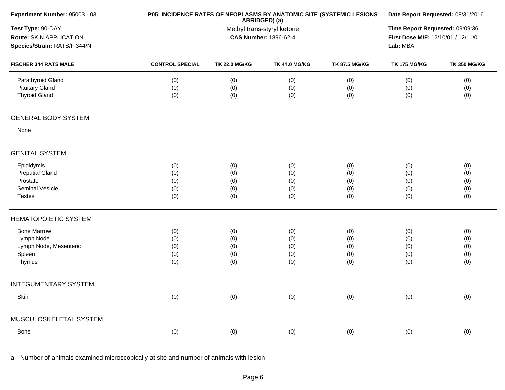| Experiment Number: 95003 - 03                                       | P05: INCIDENCE RATES OF NEOPLASMS BY ANATOMIC SITE (SYSTEMIC LESIONS | Date Report Requested: 08/31/2016                                           |                      |                      |                     |                     |  |
|---------------------------------------------------------------------|----------------------------------------------------------------------|-----------------------------------------------------------------------------|----------------------|----------------------|---------------------|---------------------|--|
| Test Type: 90-DAY<br>Route: SKIN APPLICATION                        |                                                                      | ABRIDGED) (a)<br>Methyl trans-styryl ketone<br><b>CAS Number: 1896-62-4</b> |                      |                      |                     |                     |  |
| Species/Strain: RATS/F 344/N                                        |                                                                      |                                                                             |                      |                      | Lab: MBA            |                     |  |
| <b>FISCHER 344 RATS MALE</b>                                        | <b>CONTROL SPECIAL</b>                                               | <b>TK 22.0 MG/KG</b>                                                        | <b>TK 44.0 MG/KG</b> | <b>TK 87.5 MG/KG</b> | <b>TK 175 MG/KG</b> | <b>TK 350 MG/KG</b> |  |
| Parathyroid Gland<br><b>Pituitary Gland</b><br><b>Thyroid Gland</b> | (0)<br>(0)<br>(0)                                                    | (0)<br>(0)<br>(0)                                                           | (0)<br>(0)<br>(0)    | (0)<br>(0)<br>(0)    | (0)<br>(0)<br>(0)   | (0)<br>(0)<br>(0)   |  |
| <b>GENERAL BODY SYSTEM</b>                                          |                                                                      |                                                                             |                      |                      |                     |                     |  |
| None                                                                |                                                                      |                                                                             |                      |                      |                     |                     |  |
| <b>GENITAL SYSTEM</b>                                               |                                                                      |                                                                             |                      |                      |                     |                     |  |
| Epididymis                                                          | (0)                                                                  | (0)                                                                         | (0)                  | (0)                  | (0)                 | (0)                 |  |
| <b>Preputial Gland</b><br>Prostate                                  | (0)<br>(0)                                                           | (0)<br>(0)                                                                  | (0)<br>(0)           | (0)<br>(0)           | (0)<br>(0)          | (0)<br>(0)          |  |
| Seminal Vesicle                                                     | (0)                                                                  | (0)                                                                         | (0)                  | (0)                  | (0)                 | (0)                 |  |
| <b>Testes</b>                                                       | (0)                                                                  | (0)                                                                         | (0)                  | (0)                  | (0)                 | (0)                 |  |
| <b>HEMATOPOIETIC SYSTEM</b>                                         |                                                                      |                                                                             |                      |                      |                     |                     |  |
| <b>Bone Marrow</b>                                                  | (0)                                                                  | (0)                                                                         | (0)                  | (0)                  | (0)                 | (0)                 |  |
| Lymph Node                                                          | (0)                                                                  | (0)                                                                         | (0)                  | (0)                  | (0)                 | (0)                 |  |
| Lymph Node, Mesenteric                                              | (0)                                                                  | (0)                                                                         | (0)                  | (0)                  | (0)                 | (0)                 |  |
| Spleen<br>Thymus                                                    | (0)<br>(0)                                                           | (0)<br>(0)                                                                  | (0)<br>(0)           | (0)<br>(0)           | (0)<br>(0)          | (0)<br>(0)          |  |
| <b>INTEGUMENTARY SYSTEM</b>                                         |                                                                      |                                                                             |                      |                      |                     |                     |  |
| Skin                                                                | (0)                                                                  | (0)                                                                         | (0)                  | (0)                  | (0)                 | (0)                 |  |
| MUSCULOSKELETAL SYSTEM                                              |                                                                      |                                                                             |                      |                      |                     |                     |  |
| Bone                                                                | (0)                                                                  | (0)                                                                         | (0)                  | (0)                  | (0)                 | (0)                 |  |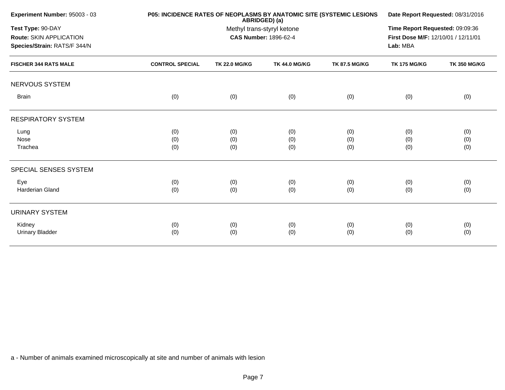| Experiment Number: 95003 - 03                                                |                        | <b>P05: INCIDENCE RATES OF NEOPLASMS BY ANATOMIC SITE (SYSTEMIC LESIONS)</b><br>ABRIDGED) (a) |                      |                      |                     |                     |  |
|------------------------------------------------------------------------------|------------------------|-----------------------------------------------------------------------------------------------|----------------------|----------------------|---------------------|---------------------|--|
| Test Type: 90-DAY<br>Route: SKIN APPLICATION<br>Species/Strain: RATS/F 344/N |                        | Methyl trans-styryl ketone<br><b>CAS Number: 1896-62-4</b>                                    |                      |                      |                     |                     |  |
| <b>FISCHER 344 RATS MALE</b>                                                 | <b>CONTROL SPECIAL</b> | <b>TK 22.0 MG/KG</b>                                                                          | <b>TK 44.0 MG/KG</b> | <b>TK 87.5 MG/KG</b> | <b>TK 175 MG/KG</b> | <b>TK 350 MG/KG</b> |  |
| NERVOUS SYSTEM                                                               |                        |                                                                                               |                      |                      |                     |                     |  |
| <b>Brain</b>                                                                 | (0)                    | (0)                                                                                           | (0)                  | (0)                  | (0)                 | (0)                 |  |
| <b>RESPIRATORY SYSTEM</b>                                                    |                        |                                                                                               |                      |                      |                     |                     |  |
| Lung                                                                         | (0)                    | (0)                                                                                           | (0)                  | (0)                  | (0)                 | (0)                 |  |
| Nose                                                                         | (0)                    | (0)                                                                                           | (0)                  | (0)                  | (0)                 | (0)                 |  |
| Trachea                                                                      | (0)                    | (0)                                                                                           | (0)                  | (0)                  | (0)                 | (0)                 |  |
| SPECIAL SENSES SYSTEM                                                        |                        |                                                                                               |                      |                      |                     |                     |  |
| Eye                                                                          | (0)                    | (0)                                                                                           | (0)                  | (0)                  | (0)                 | (0)                 |  |
| Harderian Gland                                                              | (0)                    | (0)                                                                                           | (0)                  | (0)                  | (0)                 | (0)                 |  |
| <b>URINARY SYSTEM</b>                                                        |                        |                                                                                               |                      |                      |                     |                     |  |
| Kidney                                                                       | (0)                    | (0)                                                                                           | (0)                  | (0)                  | (0)                 | (0)                 |  |
| <b>Urinary Bladder</b>                                                       | (0)                    | (0)                                                                                           | (0)                  | (0)                  | (0)                 | (0)                 |  |
|                                                                              |                        |                                                                                               |                      |                      |                     |                     |  |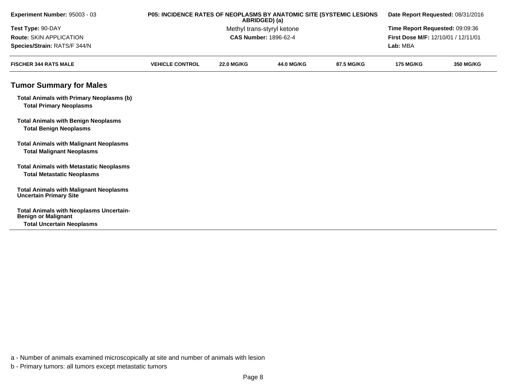| Experiment Number: 95003 - 03                                                                                    |                        | P05: INCIDENCE RATES OF NEOPLASMS BY ANATOMIC SITE (SYSTEMIC LESIONS<br>Date Report Requested: 08/31/2016<br>ABRIDGED) (a) |                              |            |                                     |                  |
|------------------------------------------------------------------------------------------------------------------|------------------------|----------------------------------------------------------------------------------------------------------------------------|------------------------------|------------|-------------------------------------|------------------|
| Test Type: 90-DAY                                                                                                |                        |                                                                                                                            | Methyl trans-styryl ketone   |            | Time Report Requested: 09:09:36     |                  |
| Route: SKIN APPLICATION                                                                                          |                        |                                                                                                                            | <b>CAS Number: 1896-62-4</b> |            | First Dose M/F: 12/10/01 / 12/11/01 |                  |
| Species/Strain: RATS/F 344/N                                                                                     |                        |                                                                                                                            |                              |            | Lab: MBA                            |                  |
| <b>FISCHER 344 RATS MALE</b>                                                                                     | <b>VEHICLE CONTROL</b> | <b>22.0 MG/KG</b>                                                                                                          | 44.0 MG/KG                   | 87.5 MG/KG | <b>175 MG/KG</b>                    | <b>350 MG/KG</b> |
| <b>Tumor Summary for Males</b>                                                                                   |                        |                                                                                                                            |                              |            |                                     |                  |
| <b>Total Animals with Primary Neoplasms (b)</b><br><b>Total Primary Neoplasms</b>                                |                        |                                                                                                                            |                              |            |                                     |                  |
| <b>Total Animals with Benign Neoplasms</b><br><b>Total Benign Neoplasms</b>                                      |                        |                                                                                                                            |                              |            |                                     |                  |
| <b>Total Animals with Malignant Neoplasms</b><br><b>Total Malignant Neoplasms</b>                                |                        |                                                                                                                            |                              |            |                                     |                  |
| <b>Total Animals with Metastatic Neoplasms</b><br><b>Total Metastatic Neoplasms</b>                              |                        |                                                                                                                            |                              |            |                                     |                  |
| <b>Total Animals with Malignant Neoplasms</b><br><b>Uncertain Primary Site</b>                                   |                        |                                                                                                                            |                              |            |                                     |                  |
| <b>Total Animals with Neoplasms Uncertain-</b><br><b>Benign or Malignant</b><br><b>Total Uncertain Neoplasms</b> |                        |                                                                                                                            |                              |            |                                     |                  |

b - Primary tumors: all tumors except metastatic tumors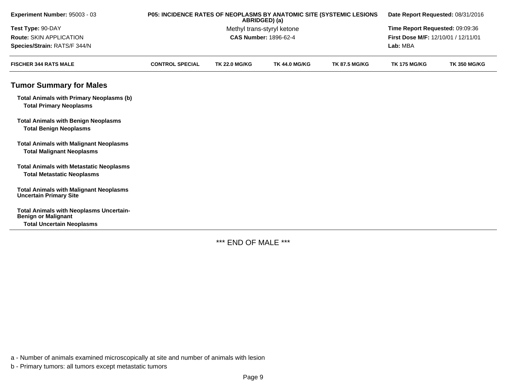| Experiment Number: 95003 - 03                                                                                    | P05: INCIDENCE RATES OF NEOPLASMS BY ANATOMIC SITE (SYSTEMIC LESIONS | ABRIDGED) (a)        | Date Report Requested: 08/31/2016 |                      |                                     |                     |  |
|------------------------------------------------------------------------------------------------------------------|----------------------------------------------------------------------|----------------------|-----------------------------------|----------------------|-------------------------------------|---------------------|--|
| Test Type: 90-DAY                                                                                                |                                                                      |                      | Methyl trans-styryl ketone        |                      | Time Report Requested: 09:09:36     |                     |  |
| <b>Route: SKIN APPLICATION</b>                                                                                   |                                                                      |                      | <b>CAS Number: 1896-62-4</b>      |                      | First Dose M/F: 12/10/01 / 12/11/01 |                     |  |
| Species/Strain: RATS/F 344/N                                                                                     |                                                                      |                      |                                   |                      | Lab: MBA                            |                     |  |
| <b>FISCHER 344 RATS MALE</b>                                                                                     | <b>CONTROL SPECIAL</b>                                               | <b>TK 22.0 MG/KG</b> | <b>TK 44.0 MG/KG</b>              | <b>TK 87.5 MG/KG</b> | <b>TK 175 MG/KG</b>                 | <b>TK 350 MG/KG</b> |  |
| <b>Tumor Summary for Males</b>                                                                                   |                                                                      |                      |                                   |                      |                                     |                     |  |
| <b>Total Animals with Primary Neoplasms (b)</b><br><b>Total Primary Neoplasms</b>                                |                                                                      |                      |                                   |                      |                                     |                     |  |
| <b>Total Animals with Benign Neoplasms</b><br><b>Total Benign Neoplasms</b>                                      |                                                                      |                      |                                   |                      |                                     |                     |  |
| <b>Total Animals with Malignant Neoplasms</b><br><b>Total Malignant Neoplasms</b>                                |                                                                      |                      |                                   |                      |                                     |                     |  |
| <b>Total Animals with Metastatic Neoplasms</b><br><b>Total Metastatic Neoplasms</b>                              |                                                                      |                      |                                   |                      |                                     |                     |  |
| <b>Total Animals with Malignant Neoplasms</b><br><b>Uncertain Primary Site</b>                                   |                                                                      |                      |                                   |                      |                                     |                     |  |
| <b>Total Animals with Neoplasms Uncertain-</b><br><b>Benign or Malignant</b><br><b>Total Uncertain Neoplasms</b> |                                                                      |                      |                                   |                      |                                     |                     |  |

\*\*\* END OF MALE \*\*\*

a - Number of animals examined microscopically at site and number of animals with lesion

b - Primary tumors: all tumors except metastatic tumors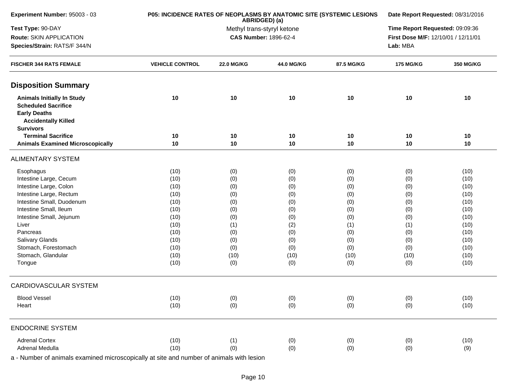| Test Type: 90-DAY<br>Methyl trans-styryl ketone<br>Route: SKIN APPLICATION<br><b>CAS Number: 1896-62-4</b><br>Species/Strain: RATS/F 344/N<br><b>FISCHER 344 RATS FEMALE</b><br><b>VEHICLE CONTROL</b><br><b>22.0 MG/KG</b><br>44.0 MG/KG<br>87.5 MG/KG<br><b>Disposition Summary</b><br>10<br>10<br>10<br><b>Animals Initially In Study</b><br>10<br><b>Scheduled Sacrifice</b><br><b>Early Deaths</b><br><b>Accidentally Killed</b><br><b>Survivors</b><br><b>Terminal Sacrifice</b><br>10<br>10<br>10<br>10<br>10<br>10<br>10<br><b>Animals Examined Microscopically</b><br>10<br><b>ALIMENTARY SYSTEM</b><br>(10)<br>(0)<br>(0)<br>(0)<br>Esophagus<br>Intestine Large, Cecum<br>(10)<br>(0)<br>(0)<br>(0)<br>Intestine Large, Colon<br>(10)<br>(0)<br>(0)<br>(0)<br>Intestine Large, Rectum<br>(10)<br>(0)<br>(0)<br>(0)<br>Intestine Small, Duodenum<br>(10)<br>(0)<br>(0)<br>(0)<br>Intestine Small, Ileum<br>(10)<br>(0)<br>(0)<br>(0)<br>(10)<br>Intestine Small, Jejunum<br>(0)<br>(0)<br>(0)<br>(10)<br>(2)<br>Liver<br>(1)<br>(1)<br>(10)<br>(0)<br>(0)<br>(0)<br>Pancreas<br>Salivary Glands<br>(10)<br>(0)<br>(0)<br>(0)<br>Stomach, Forestomach<br>(10)<br>(0)<br>(0)<br>(0)<br>Stomach, Glandular<br>(10)<br>(10)<br>(10)<br>(10)<br>(10)<br>(0)<br>(0)<br>(0)<br>Tongue<br>CARDIOVASCULAR SYSTEM<br><b>Blood Vessel</b><br>(10)<br>(0)<br>(0)<br>(0)<br>(10)<br>(0)<br>(0)<br>(0)<br>Heart | Date Report Requested: 08/31/2016<br>Time Report Requested: 09:09:36 |                                     |  |
|-------------------------------------------------------------------------------------------------------------------------------------------------------------------------------------------------------------------------------------------------------------------------------------------------------------------------------------------------------------------------------------------------------------------------------------------------------------------------------------------------------------------------------------------------------------------------------------------------------------------------------------------------------------------------------------------------------------------------------------------------------------------------------------------------------------------------------------------------------------------------------------------------------------------------------------------------------------------------------------------------------------------------------------------------------------------------------------------------------------------------------------------------------------------------------------------------------------------------------------------------------------------------------------------------------------------------------------------------------------------------------------------------------------|----------------------------------------------------------------------|-------------------------------------|--|
|                                                                                                                                                                                                                                                                                                                                                                                                                                                                                                                                                                                                                                                                                                                                                                                                                                                                                                                                                                                                                                                                                                                                                                                                                                                                                                                                                                                                             |                                                                      |                                     |  |
|                                                                                                                                                                                                                                                                                                                                                                                                                                                                                                                                                                                                                                                                                                                                                                                                                                                                                                                                                                                                                                                                                                                                                                                                                                                                                                                                                                                                             |                                                                      | First Dose M/F: 12/10/01 / 12/11/01 |  |
|                                                                                                                                                                                                                                                                                                                                                                                                                                                                                                                                                                                                                                                                                                                                                                                                                                                                                                                                                                                                                                                                                                                                                                                                                                                                                                                                                                                                             | Lab: MBA                                                             |                                     |  |
|                                                                                                                                                                                                                                                                                                                                                                                                                                                                                                                                                                                                                                                                                                                                                                                                                                                                                                                                                                                                                                                                                                                                                                                                                                                                                                                                                                                                             | <b>175 MG/KG</b>                                                     | 350 MG/KG                           |  |
|                                                                                                                                                                                                                                                                                                                                                                                                                                                                                                                                                                                                                                                                                                                                                                                                                                                                                                                                                                                                                                                                                                                                                                                                                                                                                                                                                                                                             |                                                                      |                                     |  |
|                                                                                                                                                                                                                                                                                                                                                                                                                                                                                                                                                                                                                                                                                                                                                                                                                                                                                                                                                                                                                                                                                                                                                                                                                                                                                                                                                                                                             | 10                                                                   | 10                                  |  |
|                                                                                                                                                                                                                                                                                                                                                                                                                                                                                                                                                                                                                                                                                                                                                                                                                                                                                                                                                                                                                                                                                                                                                                                                                                                                                                                                                                                                             | 10                                                                   | 10                                  |  |
|                                                                                                                                                                                                                                                                                                                                                                                                                                                                                                                                                                                                                                                                                                                                                                                                                                                                                                                                                                                                                                                                                                                                                                                                                                                                                                                                                                                                             | 10                                                                   | 10                                  |  |
|                                                                                                                                                                                                                                                                                                                                                                                                                                                                                                                                                                                                                                                                                                                                                                                                                                                                                                                                                                                                                                                                                                                                                                                                                                                                                                                                                                                                             |                                                                      |                                     |  |
|                                                                                                                                                                                                                                                                                                                                                                                                                                                                                                                                                                                                                                                                                                                                                                                                                                                                                                                                                                                                                                                                                                                                                                                                                                                                                                                                                                                                             | (0)                                                                  | (10)                                |  |
|                                                                                                                                                                                                                                                                                                                                                                                                                                                                                                                                                                                                                                                                                                                                                                                                                                                                                                                                                                                                                                                                                                                                                                                                                                                                                                                                                                                                             | (0)                                                                  | (10)                                |  |
|                                                                                                                                                                                                                                                                                                                                                                                                                                                                                                                                                                                                                                                                                                                                                                                                                                                                                                                                                                                                                                                                                                                                                                                                                                                                                                                                                                                                             | (0)                                                                  | (10)                                |  |
|                                                                                                                                                                                                                                                                                                                                                                                                                                                                                                                                                                                                                                                                                                                                                                                                                                                                                                                                                                                                                                                                                                                                                                                                                                                                                                                                                                                                             | (0)                                                                  | (10)                                |  |
|                                                                                                                                                                                                                                                                                                                                                                                                                                                                                                                                                                                                                                                                                                                                                                                                                                                                                                                                                                                                                                                                                                                                                                                                                                                                                                                                                                                                             | (0)                                                                  | (10)                                |  |
|                                                                                                                                                                                                                                                                                                                                                                                                                                                                                                                                                                                                                                                                                                                                                                                                                                                                                                                                                                                                                                                                                                                                                                                                                                                                                                                                                                                                             | (0)                                                                  | (10)                                |  |
|                                                                                                                                                                                                                                                                                                                                                                                                                                                                                                                                                                                                                                                                                                                                                                                                                                                                                                                                                                                                                                                                                                                                                                                                                                                                                                                                                                                                             | (0)                                                                  | (10)                                |  |
|                                                                                                                                                                                                                                                                                                                                                                                                                                                                                                                                                                                                                                                                                                                                                                                                                                                                                                                                                                                                                                                                                                                                                                                                                                                                                                                                                                                                             | (1)                                                                  | (10)                                |  |
|                                                                                                                                                                                                                                                                                                                                                                                                                                                                                                                                                                                                                                                                                                                                                                                                                                                                                                                                                                                                                                                                                                                                                                                                                                                                                                                                                                                                             | (0)                                                                  | (10)                                |  |
|                                                                                                                                                                                                                                                                                                                                                                                                                                                                                                                                                                                                                                                                                                                                                                                                                                                                                                                                                                                                                                                                                                                                                                                                                                                                                                                                                                                                             | (0)                                                                  | (10)                                |  |
|                                                                                                                                                                                                                                                                                                                                                                                                                                                                                                                                                                                                                                                                                                                                                                                                                                                                                                                                                                                                                                                                                                                                                                                                                                                                                                                                                                                                             | (0)                                                                  | (10)                                |  |
|                                                                                                                                                                                                                                                                                                                                                                                                                                                                                                                                                                                                                                                                                                                                                                                                                                                                                                                                                                                                                                                                                                                                                                                                                                                                                                                                                                                                             | (10)                                                                 | (10)                                |  |
|                                                                                                                                                                                                                                                                                                                                                                                                                                                                                                                                                                                                                                                                                                                                                                                                                                                                                                                                                                                                                                                                                                                                                                                                                                                                                                                                                                                                             | (0)                                                                  | (10)                                |  |
|                                                                                                                                                                                                                                                                                                                                                                                                                                                                                                                                                                                                                                                                                                                                                                                                                                                                                                                                                                                                                                                                                                                                                                                                                                                                                                                                                                                                             |                                                                      |                                     |  |
|                                                                                                                                                                                                                                                                                                                                                                                                                                                                                                                                                                                                                                                                                                                                                                                                                                                                                                                                                                                                                                                                                                                                                                                                                                                                                                                                                                                                             | (0)                                                                  | (10)                                |  |
|                                                                                                                                                                                                                                                                                                                                                                                                                                                                                                                                                                                                                                                                                                                                                                                                                                                                                                                                                                                                                                                                                                                                                                                                                                                                                                                                                                                                             | (0)                                                                  | (10)                                |  |
| <b>ENDOCRINE SYSTEM</b>                                                                                                                                                                                                                                                                                                                                                                                                                                                                                                                                                                                                                                                                                                                                                                                                                                                                                                                                                                                                                                                                                                                                                                                                                                                                                                                                                                                     |                                                                      |                                     |  |
| <b>Adrenal Cortex</b><br>(10)<br>(1)<br>(0)<br>(0)                                                                                                                                                                                                                                                                                                                                                                                                                                                                                                                                                                                                                                                                                                                                                                                                                                                                                                                                                                                                                                                                                                                                                                                                                                                                                                                                                          | (0)                                                                  | (10)                                |  |
| Adrenal Medulla<br>(10)<br>(0)<br>(0)<br>(0)                                                                                                                                                                                                                                                                                                                                                                                                                                                                                                                                                                                                                                                                                                                                                                                                                                                                                                                                                                                                                                                                                                                                                                                                                                                                                                                                                                | (0)                                                                  | (9)                                 |  |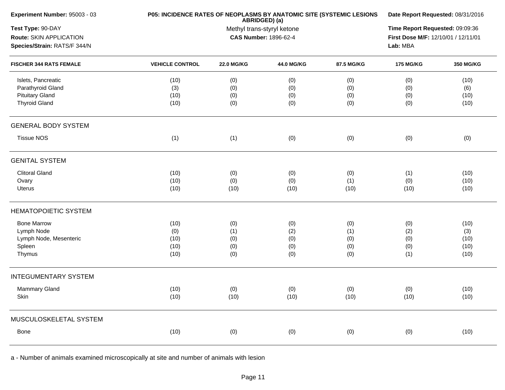| Experiment Number: 95003 - 03                                                             | P05: INCIDENCE RATES OF NEOPLASMS BY ANATOMIC SITE (SYSTEMIC LESIONS | Date Report Requested: 08/31/2016                                                  |                                 |                                 |                                 |                                     |
|-------------------------------------------------------------------------------------------|----------------------------------------------------------------------|------------------------------------------------------------------------------------|---------------------------------|---------------------------------|---------------------------------|-------------------------------------|
| Test Type: 90-DAY<br>Route: SKIN APPLICATION<br>Species/Strain: RATS/F 344/N              |                                                                      | Time Report Requested: 09:09:36<br>First Dose M/F: 12/10/01 / 12/11/01<br>Lab: MBA |                                 |                                 |                                 |                                     |
| <b>FISCHER 344 RATS FEMALE</b>                                                            | <b>VEHICLE CONTROL</b>                                               | <b>22.0 MG/KG</b>                                                                  | 44.0 MG/KG                      | 87.5 MG/KG                      | <b>175 MG/KG</b>                | <b>350 MG/KG</b>                    |
| Islets, Pancreatic<br>Parathyroid Gland<br><b>Pituitary Gland</b><br><b>Thyroid Gland</b> | (10)<br>(3)<br>(10)<br>(10)                                          | (0)<br>(0)<br>(0)<br>(0)                                                           | (0)<br>(0)<br>(0)<br>(0)        | (0)<br>(0)<br>(0)<br>(0)        | (0)<br>(0)<br>(0)<br>(0)        | (10)<br>(6)<br>(10)<br>(10)         |
| <b>GENERAL BODY SYSTEM</b>                                                                |                                                                      |                                                                                    |                                 |                                 |                                 |                                     |
| <b>Tissue NOS</b>                                                                         | (1)                                                                  | (1)                                                                                | (0)                             | (0)                             | (0)                             | (0)                                 |
| <b>GENITAL SYSTEM</b>                                                                     |                                                                      |                                                                                    |                                 |                                 |                                 |                                     |
| <b>Clitoral Gland</b><br>Ovary<br><b>Uterus</b>                                           | (10)<br>(10)<br>(10)                                                 | (0)<br>(0)<br>(10)                                                                 | (0)<br>(0)<br>(10)              | (0)<br>(1)<br>(10)              | (1)<br>(0)<br>(10)              | (10)<br>(10)<br>(10)                |
| <b>HEMATOPOIETIC SYSTEM</b>                                                               |                                                                      |                                                                                    |                                 |                                 |                                 |                                     |
| <b>Bone Marrow</b><br>Lymph Node<br>Lymph Node, Mesenteric<br>Spleen<br>Thymus            | (10)<br>(0)<br>(10)<br>(10)<br>(10)                                  | (0)<br>(1)<br>(0)<br>(0)<br>(0)                                                    | (0)<br>(2)<br>(0)<br>(0)<br>(0) | (0)<br>(1)<br>(0)<br>(0)<br>(0) | (0)<br>(2)<br>(0)<br>(0)<br>(1) | (10)<br>(3)<br>(10)<br>(10)<br>(10) |
| <b>INTEGUMENTARY SYSTEM</b>                                                               |                                                                      |                                                                                    |                                 |                                 |                                 |                                     |
| Mammary Gland<br>Skin                                                                     | (10)<br>(10)                                                         | (0)<br>(10)                                                                        | (0)<br>(10)                     | (0)<br>(10)                     | (0)<br>(10)                     | (10)<br>(10)                        |
| MUSCULOSKELETAL SYSTEM                                                                    |                                                                      |                                                                                    |                                 |                                 |                                 |                                     |
| Bone                                                                                      | (10)                                                                 | (0)                                                                                | (0)                             | (0)                             | (0)                             | (10)                                |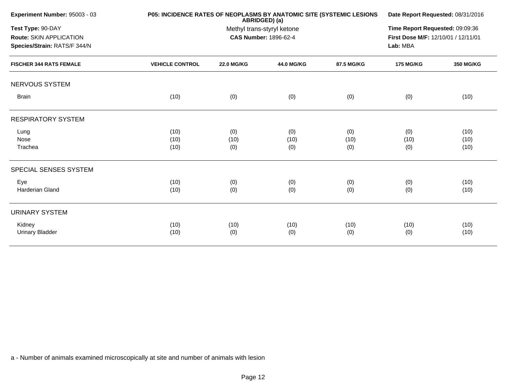| Experiment Number: 95003 - 03                                                | P05: INCIDENCE RATES OF NEOPLASMS BY ANATOMIC SITE (SYSTEMIC LESIONS | Date Report Requested: 08/31/2016<br>Time Report Requested: 09:09:36<br>First Dose M/F: 12/10/01 / 12/11/01<br>Lab: MBA |                   |            |                  |                  |
|------------------------------------------------------------------------------|----------------------------------------------------------------------|-------------------------------------------------------------------------------------------------------------------------|-------------------|------------|------------------|------------------|
| Test Type: 90-DAY<br>Route: SKIN APPLICATION<br>Species/Strain: RATS/F 344/N |                                                                      |                                                                                                                         |                   |            |                  |                  |
| <b>FISCHER 344 RATS FEMALE</b>                                               | <b>VEHICLE CONTROL</b>                                               | <b>22.0 MG/KG</b>                                                                                                       | <b>44.0 MG/KG</b> | 87.5 MG/KG | <b>175 MG/KG</b> | <b>350 MG/KG</b> |
| NERVOUS SYSTEM                                                               |                                                                      |                                                                                                                         |                   |            |                  |                  |
| <b>Brain</b>                                                                 | (10)                                                                 | (0)                                                                                                                     | (0)               | (0)        | (0)              | (10)             |
| <b>RESPIRATORY SYSTEM</b>                                                    |                                                                      |                                                                                                                         |                   |            |                  |                  |
| Lung                                                                         | (10)                                                                 | (0)                                                                                                                     | (0)               | (0)        | (0)              | (10)             |
| Nose                                                                         | (10)                                                                 | (10)                                                                                                                    | (10)              | (10)       | (10)             | (10)             |
| Trachea                                                                      | (10)                                                                 | (0)                                                                                                                     | (0)               | (0)        | (0)              | (10)             |
| SPECIAL SENSES SYSTEM                                                        |                                                                      |                                                                                                                         |                   |            |                  |                  |
| Eye                                                                          | (10)                                                                 | (0)                                                                                                                     | (0)               | (0)        | (0)              | (10)             |
| <b>Harderian Gland</b>                                                       | (10)                                                                 | (0)                                                                                                                     | (0)               | (0)        | (0)              | (10)             |
| <b>URINARY SYSTEM</b>                                                        |                                                                      |                                                                                                                         |                   |            |                  |                  |
| Kidney                                                                       | (10)                                                                 | (10)                                                                                                                    | (10)              | (10)       | (10)             | (10)             |
| <b>Urinary Bladder</b>                                                       | (10)                                                                 | (0)                                                                                                                     | (0)               | (0)        | (0)              | (10)             |
|                                                                              |                                                                      |                                                                                                                         |                   |            |                  |                  |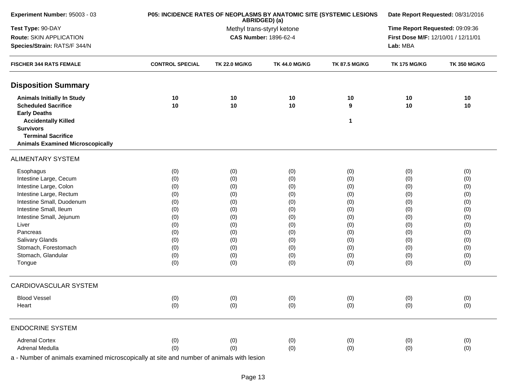| Experiment Number: 95003 - 03                  | P05: INCIDENCE RATES OF NEOPLASMS BY ANATOMIC SITE (SYSTEMIC LESIONS | Date Report Requested: 08/31/2016<br>Time Report Requested: 09:09:36 |                              |                      |                                                 |                     |  |
|------------------------------------------------|----------------------------------------------------------------------|----------------------------------------------------------------------|------------------------------|----------------------|-------------------------------------------------|---------------------|--|
| Test Type: 90-DAY                              |                                                                      |                                                                      |                              |                      |                                                 |                     |  |
| Route: SKIN APPLICATION                        |                                                                      |                                                                      | <b>CAS Number: 1896-62-4</b> |                      | First Dose M/F: 12/10/01 / 12/11/01<br>Lab: MBA |                     |  |
| Species/Strain: RATS/F 344/N                   |                                                                      |                                                                      |                              |                      |                                                 |                     |  |
| <b>FISCHER 344 RATS FEMALE</b>                 | <b>CONTROL SPECIAL</b>                                               | <b>TK 22.0 MG/KG</b>                                                 | <b>TK 44.0 MG/KG</b>         | <b>TK 87.5 MG/KG</b> | <b>TK 175 MG/KG</b>                             | <b>TK 350 MG/KG</b> |  |
| <b>Disposition Summary</b>                     |                                                                      |                                                                      |                              |                      |                                                 |                     |  |
| <b>Animals Initially In Study</b>              | 10                                                                   | 10                                                                   | 10                           | 10                   | 10                                              | 10                  |  |
| <b>Scheduled Sacrifice</b>                     | 10                                                                   | 10                                                                   | 10                           | 9                    | 10                                              | 10                  |  |
| <b>Early Deaths</b>                            |                                                                      |                                                                      |                              |                      |                                                 |                     |  |
| <b>Accidentally Killed</b><br><b>Survivors</b> |                                                                      |                                                                      |                              | 1                    |                                                 |                     |  |
| <b>Terminal Sacrifice</b>                      |                                                                      |                                                                      |                              |                      |                                                 |                     |  |
| <b>Animals Examined Microscopically</b>        |                                                                      |                                                                      |                              |                      |                                                 |                     |  |
| <b>ALIMENTARY SYSTEM</b>                       |                                                                      |                                                                      |                              |                      |                                                 |                     |  |
| Esophagus                                      | (0)                                                                  | (0)                                                                  | (0)                          | (0)                  | (0)                                             | (0)                 |  |
| Intestine Large, Cecum                         | (0)                                                                  | (0)                                                                  | (0)                          | (0)                  | (0)                                             | (0)                 |  |
| Intestine Large, Colon                         | (0)                                                                  | (0)                                                                  | (0)                          | (0)                  | (0)                                             | (0)                 |  |
| Intestine Large, Rectum                        | (0)                                                                  | (0)                                                                  | (0)                          | (0)                  | (0)                                             | (0)                 |  |
| Intestine Small, Duodenum                      | (0)                                                                  | (0)                                                                  | (0)                          | (0)                  | (0)                                             | (0)                 |  |
| Intestine Small, Ileum                         | (0)                                                                  | (0)                                                                  | (0)                          | (0)                  | (0)                                             | (0)                 |  |
| Intestine Small, Jejunum                       | (0)                                                                  | (0)                                                                  | (0)                          | (0)                  | (0)                                             | (0)                 |  |
| Liver                                          | (0)                                                                  | (0)                                                                  | (0)                          | (0)                  | (0)                                             | (0)                 |  |
| Pancreas                                       | (0)                                                                  | (0)                                                                  | (0)                          | (0)                  | (0)                                             | (0)                 |  |
| Salivary Glands                                | (0)                                                                  | (0)                                                                  | (0)                          | (0)                  | (0)                                             | (0)                 |  |
| Stomach, Forestomach                           | (0)                                                                  | (0)                                                                  | (0)                          | (0)                  | (0)                                             | (0)                 |  |
| Stomach, Glandular                             | (0)                                                                  | (0)                                                                  | (0)                          | (0)                  | (0)                                             | (0)                 |  |
| Tongue                                         | (0)                                                                  | (0)                                                                  | (0)                          | (0)                  | (0)                                             | (0)                 |  |
| <b>CARDIOVASCULAR SYSTEM</b>                   |                                                                      |                                                                      |                              |                      |                                                 |                     |  |
| <b>Blood Vessel</b>                            | (0)                                                                  | (0)                                                                  | (0)                          | (0)                  | (0)                                             | (0)                 |  |
| Heart                                          | (0)                                                                  | (0)                                                                  | (0)                          | (0)                  | (0)                                             | (0)                 |  |
| <b>ENDOCRINE SYSTEM</b>                        |                                                                      |                                                                      |                              |                      |                                                 |                     |  |
| <b>Adrenal Cortex</b>                          | (0)                                                                  | (0)                                                                  | (0)                          | (0)                  | (0)                                             | (0)                 |  |
| Adrenal Medulla                                | (0)                                                                  | (0)                                                                  | (0)                          | (0)                  | (0)                                             | (0)                 |  |
|                                                |                                                                      |                                                                      |                              |                      |                                                 |                     |  |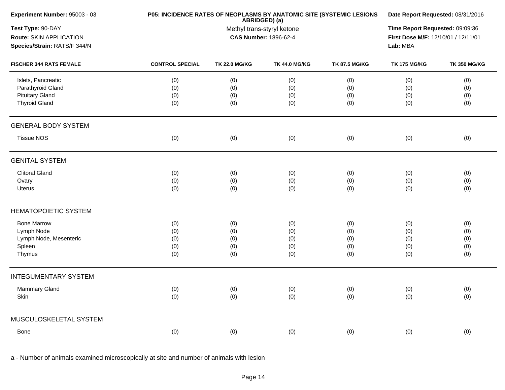| <b>CONTROL SPECIAL</b><br>(0)<br>(0)<br>(0)<br>(0) | Methyl trans-styryl ketone<br><b>TK 22.0 MG/KG</b><br>(0) | ABRIDGED) (a)<br><b>CAS Number: 1896-62-4</b><br><b>TK 44.0 MG/KG</b> | <b>TK 87.5 MG/KG</b>     | Time Report Requested: 09:09:36<br>First Dose M/F: 12/10/01 / 12/11/01<br>Lab: MBA<br><b>TK 175 MG/KG</b> | <b>TK 350 MG/KG</b>      |
|----------------------------------------------------|-----------------------------------------------------------|-----------------------------------------------------------------------|--------------------------|-----------------------------------------------------------------------------------------------------------|--------------------------|
|                                                    |                                                           |                                                                       |                          |                                                                                                           |                          |
|                                                    |                                                           |                                                                       |                          |                                                                                                           |                          |
|                                                    |                                                           |                                                                       |                          |                                                                                                           |                          |
|                                                    |                                                           |                                                                       |                          |                                                                                                           |                          |
|                                                    |                                                           | (0)                                                                   | (0)                      | (0)                                                                                                       | (0)                      |
|                                                    | (0)                                                       | (0)                                                                   | (0)                      | (0)                                                                                                       | (0)                      |
|                                                    | (0)                                                       | (0)                                                                   | (0)                      | (0)                                                                                                       | (0)                      |
|                                                    | (0)                                                       | (0)                                                                   | (0)                      | (0)                                                                                                       | (0)                      |
|                                                    |                                                           |                                                                       |                          |                                                                                                           |                          |
| (0)                                                | (0)                                                       | (0)                                                                   | (0)                      | (0)                                                                                                       | (0)                      |
|                                                    |                                                           |                                                                       |                          |                                                                                                           |                          |
|                                                    |                                                           |                                                                       |                          |                                                                                                           | (0)                      |
|                                                    |                                                           |                                                                       |                          |                                                                                                           | (0)                      |
| (0)                                                | (0)                                                       | (0)                                                                   | (0)                      | (0)                                                                                                       | (0)                      |
|                                                    |                                                           |                                                                       |                          |                                                                                                           |                          |
|                                                    |                                                           |                                                                       |                          |                                                                                                           | (0)                      |
| (0)                                                |                                                           | (0)                                                                   | (0)                      | (0)                                                                                                       | (0)                      |
| (0)                                                | (0)                                                       | (0)                                                                   | (0)                      | (0)                                                                                                       | (0)                      |
| (0)                                                | (0)                                                       | (0)                                                                   | (0)                      | (0)                                                                                                       | (0)                      |
| (0)                                                | (0)                                                       | (0)                                                                   | (0)                      | (0)                                                                                                       | (0)                      |
|                                                    |                                                           |                                                                       |                          |                                                                                                           |                          |
|                                                    |                                                           |                                                                       |                          |                                                                                                           | (0)                      |
| (0)                                                | (0)                                                       | (0)                                                                   | (0)                      | (0)                                                                                                       | (0)                      |
|                                                    |                                                           |                                                                       |                          |                                                                                                           |                          |
| (0)                                                | (0)                                                       | (0)                                                                   | (0)                      | (0)                                                                                                       | (0)                      |
|                                                    | (0)<br>(0)<br>(0)<br>(0)                                  | (0)<br>(0)<br>(0)<br>(0)<br>(0)                                       | (0)<br>(0)<br>(0)<br>(0) | (0)<br>(0)<br>(0)<br>(0)                                                                                  | (0)<br>(0)<br>(0)<br>(0) |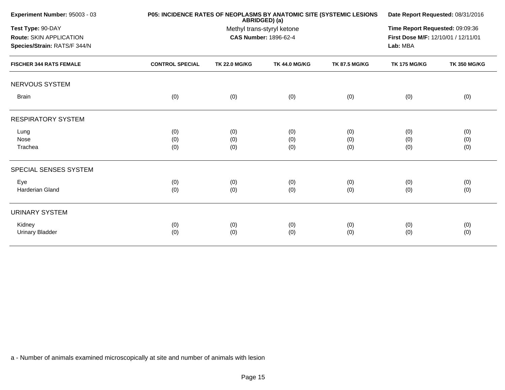| Experiment Number: 95003 - 03                                                |                        | P05: INCIDENCE RATES OF NEOPLASMS BY ANATOMIC SITE (SYSTEMIC LESIONS<br>ABRIDGED) (a) |                      |                      |                     |                     |
|------------------------------------------------------------------------------|------------------------|---------------------------------------------------------------------------------------|----------------------|----------------------|---------------------|---------------------|
| Test Type: 90-DAY<br>Route: SKIN APPLICATION<br>Species/Strain: RATS/F 344/N |                        | Time Report Requested: 09:09:36<br>First Dose M/F: 12/10/01 / 12/11/01<br>Lab: MBA    |                      |                      |                     |                     |
| <b>FISCHER 344 RATS FEMALE</b>                                               | <b>CONTROL SPECIAL</b> | <b>TK 22.0 MG/KG</b>                                                                  | <b>TK 44.0 MG/KG</b> | <b>TK 87.5 MG/KG</b> | <b>TK 175 MG/KG</b> | <b>TK 350 MG/KG</b> |
| NERVOUS SYSTEM                                                               |                        |                                                                                       |                      |                      |                     |                     |
| <b>Brain</b>                                                                 | (0)                    | (0)                                                                                   | (0)                  | (0)                  | (0)                 | (0)                 |
| <b>RESPIRATORY SYSTEM</b>                                                    |                        |                                                                                       |                      |                      |                     |                     |
| Lung                                                                         | (0)                    | (0)                                                                                   | (0)                  | (0)                  | (0)                 | (0)                 |
| Nose                                                                         | (0)                    | (0)                                                                                   | (0)                  | (0)                  | (0)                 | (0)                 |
| Trachea                                                                      | (0)                    | (0)                                                                                   | (0)                  | (0)                  | (0)                 | (0)                 |
| SPECIAL SENSES SYSTEM                                                        |                        |                                                                                       |                      |                      |                     |                     |
| Eye                                                                          | (0)                    | (0)                                                                                   | (0)                  | (0)                  | (0)                 | (0)                 |
| Harderian Gland                                                              | (0)                    | (0)                                                                                   | (0)                  | (0)                  | (0)                 | (0)                 |
| <b>URINARY SYSTEM</b>                                                        |                        |                                                                                       |                      |                      |                     |                     |
| Kidney                                                                       | (0)                    | (0)                                                                                   | (0)                  | (0)                  | (0)                 | (0)                 |
| <b>Urinary Bladder</b>                                                       | (0)                    | (0)                                                                                   | (0)                  | (0)                  | (0)                 | (0)                 |
|                                                                              |                        |                                                                                       |                      |                      |                     |                     |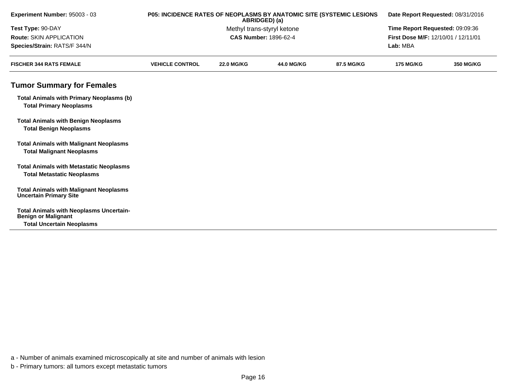| Experiment Number: 95003 - 03                                                                                    | P05: INCIDENCE RATES OF NEOPLASMS BY ANATOMIC SITE (SYSTEMIC LESIONS<br>ABRIDGED) (a) |                                 |                   |                                     | Date Report Requested: 08/31/2016 |                  |
|------------------------------------------------------------------------------------------------------------------|---------------------------------------------------------------------------------------|---------------------------------|-------------------|-------------------------------------|-----------------------------------|------------------|
| Test Type: 90-DAY                                                                                                |                                                                                       | Time Report Requested: 09:09:36 |                   |                                     |                                   |                  |
| <b>Route: SKIN APPLICATION</b>                                                                                   |                                                                                       | <b>CAS Number: 1896-62-4</b>    |                   | First Dose M/F: 12/10/01 / 12/11/01 |                                   |                  |
| Species/Strain: RATS/F 344/N                                                                                     |                                                                                       |                                 |                   | Lab: MBA                            |                                   |                  |
| <b>FISCHER 344 RATS FEMALE</b>                                                                                   | <b>VEHICLE CONTROL</b>                                                                | <b>22.0 MG/KG</b>               | <b>44.0 MG/KG</b> | 87.5 MG/KG                          | <b>175 MG/KG</b>                  | <b>350 MG/KG</b> |
| <b>Tumor Summary for Females</b>                                                                                 |                                                                                       |                                 |                   |                                     |                                   |                  |
| <b>Total Animals with Primary Neoplasms (b)</b><br><b>Total Primary Neoplasms</b>                                |                                                                                       |                                 |                   |                                     |                                   |                  |
| <b>Total Animals with Benign Neoplasms</b><br><b>Total Benign Neoplasms</b>                                      |                                                                                       |                                 |                   |                                     |                                   |                  |
| <b>Total Animals with Malignant Neoplasms</b><br><b>Total Malignant Neoplasms</b>                                |                                                                                       |                                 |                   |                                     |                                   |                  |
| <b>Total Animals with Metastatic Neoplasms</b><br><b>Total Metastatic Neoplasms</b>                              |                                                                                       |                                 |                   |                                     |                                   |                  |
| <b>Total Animals with Malignant Neoplasms</b><br><b>Uncertain Primary Site</b>                                   |                                                                                       |                                 |                   |                                     |                                   |                  |
| <b>Total Animals with Neoplasms Uncertain-</b><br><b>Benign or Malignant</b><br><b>Total Uncertain Neoplasms</b> |                                                                                       |                                 |                   |                                     |                                   |                  |

a - Number of animals examined microscopically at site and number of animals with lesion

b - Primary tumors: all tumors except metastatic tumors